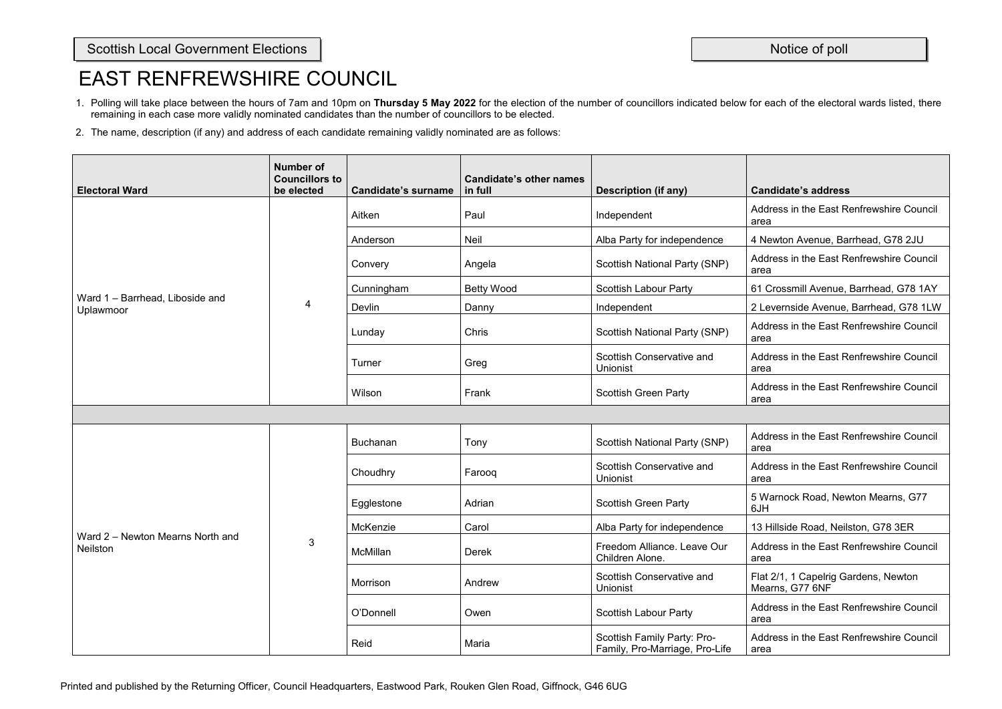- 1. Polling will take place between the hours of 7am and 10pm on **Thursday 5 May 2022** for the election of the number of councillors indicated below for each of the electoral wards listed, there remaining in each case more validly nominated candidates than the number of councillors to be elected.
- 2. The name, description (if any) and address of each candidate remaining validly nominated are as follows:

| <b>Electoral Ward</b>                               | <b>Number of</b><br><b>Councillors to</b><br>be elected | <b>Candidate's surname</b> | <b>Candidate's other names</b><br>in full | <b>Description (if any)</b>                                   | <b>Candidate's address</b>                              |
|-----------------------------------------------------|---------------------------------------------------------|----------------------------|-------------------------------------------|---------------------------------------------------------------|---------------------------------------------------------|
|                                                     |                                                         | Aitken                     | Paul                                      | Independent                                                   | Address in the East Renfrewshire Council<br>area        |
|                                                     |                                                         | Anderson                   | <b>Neil</b>                               | Alba Party for independence                                   | 4 Newton Avenue, Barrhead, G78 2JU                      |
|                                                     |                                                         | Convery                    | Angela                                    | <b>Scottish National Party (SNP)</b>                          | Address in the East Renfrewshire Council<br>area        |
|                                                     |                                                         | Cunningham                 | <b>Betty Wood</b>                         | <b>Scottish Labour Party</b>                                  | 61 Crossmill Avenue, Barrhead, G78 1AY                  |
| Ward 1 - Barrhead, Liboside and<br>Uplawmoor        | 4                                                       | Devlin                     | Danny                                     | Independent                                                   | 2 Levernside Avenue, Barrhead, G78 1LW                  |
|                                                     |                                                         | Lunday                     | Chris                                     | <b>Scottish National Party (SNP)</b>                          | Address in the East Renfrewshire Council<br>area        |
|                                                     |                                                         | Turner                     | Greg                                      | <b>Scottish Conservative and</b><br>Unionist                  | Address in the East Renfrewshire Council<br>area        |
|                                                     |                                                         | Wilson                     | Frank                                     | <b>Scottish Green Party</b>                                   | Address in the East Renfrewshire Council<br>area        |
|                                                     |                                                         |                            |                                           |                                                               |                                                         |
|                                                     | 3                                                       | <b>Buchanan</b>            | Tony                                      | <b>Scottish National Party (SNP)</b>                          | Address in the East Renfrewshire Council<br>area        |
|                                                     |                                                         | Choudhry                   | Farooq                                    | <b>Scottish Conservative and</b><br>Unionist                  | Address in the East Renfrewshire Council<br>area        |
|                                                     |                                                         | Egglestone                 | Adrian                                    | <b>Scottish Green Party</b>                                   | 5 Warnock Road, Newton Mearns, G77<br>6JH               |
|                                                     |                                                         | McKenzie                   | Carol                                     | Alba Party for independence                                   | 13 Hillside Road, Neilston, G78 3ER                     |
| Ward 2 - Newton Mearns North and<br><b>Neilston</b> |                                                         | McMillan                   | <b>Derek</b>                              | Freedom Alliance. Leave Our<br>Children Alone.                | Address in the East Renfrewshire Council<br>area        |
|                                                     |                                                         | Morrison                   | Andrew                                    | <b>Scottish Conservative and</b><br>Unionist                  | Flat 2/1, 1 Capelrig Gardens, Newton<br>Mearns, G77 6NF |
|                                                     |                                                         | O'Donnell                  | Owen                                      | <b>Scottish Labour Party</b>                                  | Address in the East Renfrewshire Council<br>area        |
|                                                     |                                                         | Reid                       | Maria                                     | Scottish Family Party: Pro-<br>Family, Pro-Marriage, Pro-Life | Address in the East Renfrewshire Council<br>area        |

| <b>Candidate's address</b>                              |
|---------------------------------------------------------|
| Address in the East Renfrewshire Council<br>area        |
| 4 Newton Avenue, Barrhead, G78 2JU                      |
| Address in the East Renfrewshire Council<br>area        |
| 61 Crossmill Avenue, Barrhead, G78 1AY                  |
| 2 Levernside Avenue, Barrhead, G78 1LW                  |
| Address in the East Renfrewshire Council<br>area        |
| Address in the East Renfrewshire Council<br>area        |
| Address in the East Renfrewshire Council<br>area        |
|                                                         |
| Address in the East Renfrewshire Council<br>area        |
| Address in the East Renfrewshire Council<br>area        |
| 5 Warnock Road, Newton Mearns, G77<br>6JH               |
| 13 Hillside Road, Neilston, G78 3ER                     |
| Address in the East Renfrewshire Council<br>area        |
| Flat 2/1, 1 Capelrig Gardens, Newton<br>Mearns, G77 6NF |
| Address in the East Renfrewshire Council<br>area        |
| Address in the East Renfrewshire Council<br>area        |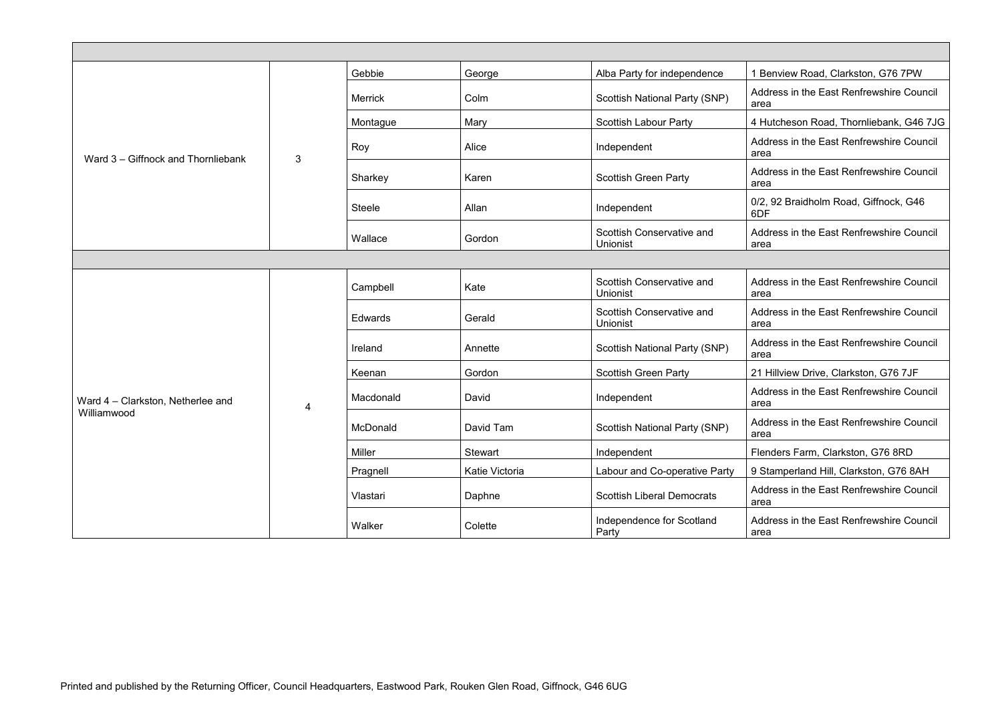|                                    | 3 | Gebbie         | George         | Alba Party for independence                         | 1 Benview Road, Clarkston, G76 7PW               |  |  |
|------------------------------------|---|----------------|----------------|-----------------------------------------------------|--------------------------------------------------|--|--|
|                                    |   | <b>Merrick</b> | Colm           | <b>Scottish National Party (SNP)</b>                | Address in the East Renfrewshire Council<br>area |  |  |
|                                    |   | Montague       | Mary           | <b>Scottish Labour Party</b>                        | 4 Hutcheson Road, Thornliebank, G46 7JG          |  |  |
| Ward 3 – Giffnock and Thornliebank |   | Roy            | Alice          | Independent                                         | Address in the East Renfrewshire Council<br>area |  |  |
|                                    |   | Sharkey        | Karen          | <b>Scottish Green Party</b>                         | Address in the East Renfrewshire Council<br>area |  |  |
|                                    |   | <b>Steele</b>  | Allan          | Independent                                         | 0/2, 92 Braidholm Road, Giffnock, G46<br>6DF     |  |  |
|                                    |   | Wallace        | Gordon         | <b>Scottish Conservative and</b><br><b>Unionist</b> | Address in the East Renfrewshire Council<br>area |  |  |
|                                    |   |                |                |                                                     |                                                  |  |  |
|                                    |   | Campbell       | Kate           | <b>Scottish Conservative and</b><br>Unionist        | Address in the East Renfrewshire Council<br>area |  |  |
|                                    |   | Edwards        | Gerald         | <b>Scottish Conservative and</b><br>Unionist        | Address in the East Renfrewshire Council<br>area |  |  |
|                                    |   | Ireland        | Annette        | <b>Scottish National Party (SNP)</b>                | Address in the East Renfrewshire Council<br>area |  |  |
|                                    |   | Keenan         | Gordon         | <b>Scottish Green Party</b>                         | 21 Hillview Drive, Clarkston, G76 7JF            |  |  |
| Ward 4 - Clarkston, Netherlee and  |   | Macdonald      | David          | Independent                                         | Address in the East Renfrewshire Council<br>area |  |  |
| Williamwood                        |   | McDonald       | David Tam      | <b>Scottish National Party (SNP)</b>                | Address in the East Renfrewshire Council<br>area |  |  |
|                                    |   | Miller         | Stewart        | Independent                                         | Flenders Farm, Clarkston, G76 8RD                |  |  |
|                                    |   | Pragnell       | Katie Victoria | Labour and Co-operative Party                       | 9 Stamperland Hill, Clarkston, G76 8AH           |  |  |
|                                    |   | Vlastari       | Daphne         | <b>Scottish Liberal Democrats</b>                   | Address in the East Renfrewshire Council<br>area |  |  |
|                                    |   | Walker         | Colette        | Independence for Scotland<br>Party                  | Address in the East Renfrewshire Council<br>area |  |  |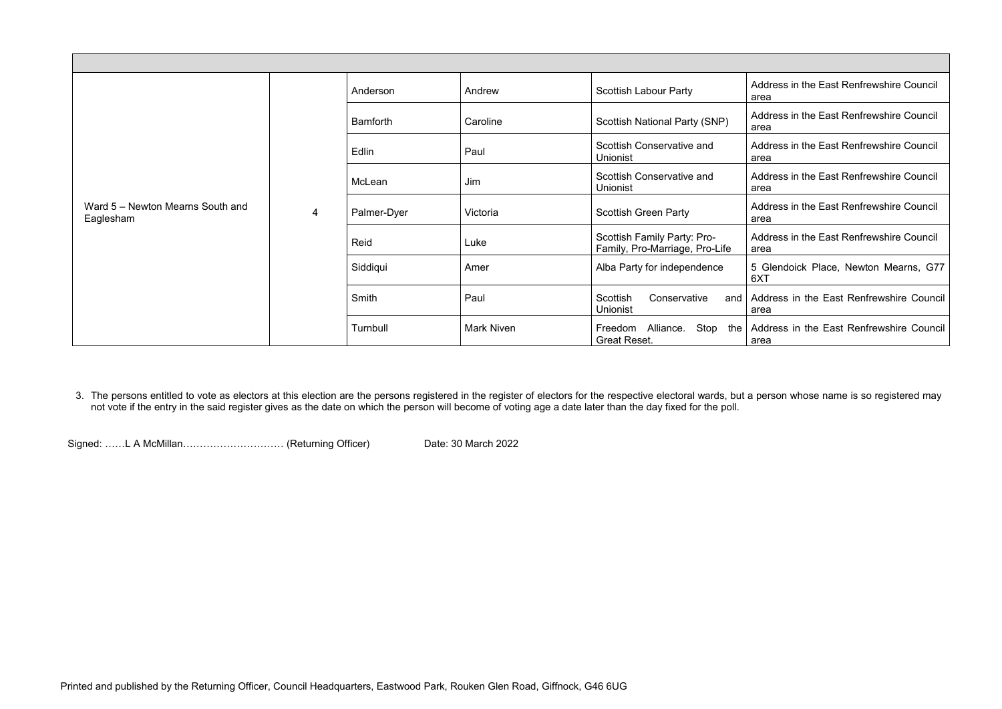Address in the East Renfrewshire Council area

Address in the East Renfrewshire Council area

Address in the East Renfrewshire Council area

Address in the East Renfrewshire Council area

Address in the East Renfrewshire Council area

| Ward 5 – Newton Mearns South and<br>Eaglesham | $\overline{4}$ | Anderson        | Andrew            | <b>Scottish Labour Party</b>                                  | a |
|-----------------------------------------------|----------------|-----------------|-------------------|---------------------------------------------------------------|---|
|                                               |                | <b>Bamforth</b> | Caroline          | <b>Scottish National Party (SNP)</b>                          | a |
|                                               |                | Edlin           | Paul              | Scottish Conservative and<br><b>Unionist</b>                  | a |
|                                               |                | McLean          | Jim               | <b>Scottish Conservative and</b><br><b>Unionist</b>           | a |
|                                               |                | Palmer-Dyer     | Victoria          | <b>Scottish Green Party</b>                                   | a |
|                                               |                | Reid            | Luke              | Scottish Family Party: Pro-<br>Family, Pro-Marriage, Pro-Life | ć |
|                                               |                | Siddiqui        | Amer              | Alba Party for independence                                   | F |
|                                               |                | Smith           | Paul              | Scottish<br>Conservative<br>and<br><b>Unionist</b>            | ε |
|                                               |                | Turnbull        | <b>Mark Niven</b> | Freedom Alliance.<br>Stop<br>the<br><b>Great Reset.</b>       | ε |

Address in the East Renfrewshire Council area

5 Glendoick Place, Newton Mearns, G77  $3XT$ 

Address in the East Renfrewshire Council area

Address in the East Renfrewshire Council area

3. The persons entitled to vote as electors at this election are the persons registered in the register of electors for the respective electoral wards, but a person whose name is so registered may not vote if the entry in the said register gives as the date on which the person will become of voting age a date later than the day fixed for the poll.

Signed: ……L A McMillan…………………………… (Returning Officer) Date: 30 March 2022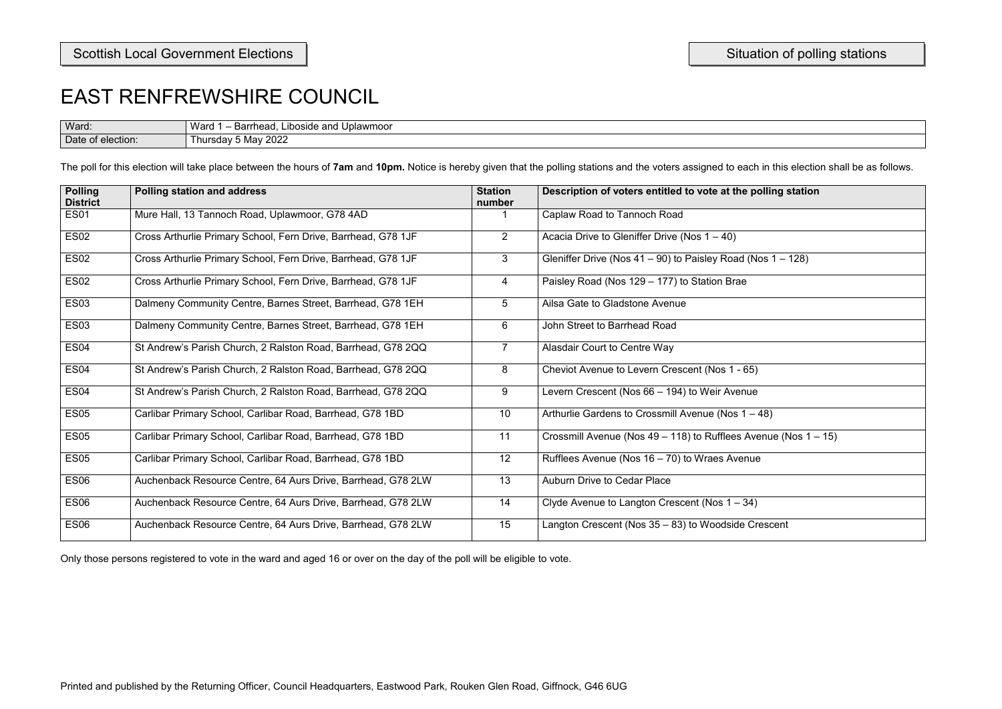| i in this election shall be as follows. |  |  |
|-----------------------------------------|--|--|
| olling station                          |  |  |
|                                         |  |  |
|                                         |  |  |
| $\overline{os 1 - 128}$                 |  |  |
|                                         |  |  |
|                                         |  |  |
|                                         |  |  |
|                                         |  |  |
|                                         |  |  |
|                                         |  |  |
| $\overline{48)}$                        |  |  |
| enue (Nos 1 – 15)                       |  |  |
| e                                       |  |  |
|                                         |  |  |
|                                         |  |  |
| escent                                  |  |  |

| Ward:             | Warg<br>∟iboside and l<br>Barrhead<br>Uplawmoor |
|-------------------|-------------------------------------------------|
| Date of election: | 2022<br>. May ′<br>nursday 1                    |

The poll for this election will take place between the hours of 7am and 10pm. Notice is hereby given that the polling stations and the voters assigned to each in this election shall be as foll

| <b>Polling</b><br><b>District</b> | <b>Polling station and address</b>                            | <b>Station</b><br>number | Description of voters entitled to vote at the polling station     |
|-----------------------------------|---------------------------------------------------------------|--------------------------|-------------------------------------------------------------------|
| <b>ES01</b>                       | Mure Hall, 13 Tannoch Road, Uplawmoor, G78 4AD                |                          | Caplaw Road to Tannoch Road                                       |
| <b>ES02</b>                       | Cross Arthurlie Primary School, Fern Drive, Barrhead, G78 1JF | $2^{\circ}$              | Acacia Drive to Gleniffer Drive (Nos $1 - 40$ )                   |
| <b>ES02</b>                       | Cross Arthurlie Primary School, Fern Drive, Barrhead, G78 1JF | $\mathbf{3}$             | Gleniffer Drive (Nos $41 - 90$ ) to Paisley Road (Nos $1 - 128$ ) |
| <b>ES02</b>                       | Cross Arthurlie Primary School, Fern Drive, Barrhead, G78 1JF | 4                        | Paisley Road (Nos 129 – 177) to Station Brae                      |
| <b>ES03</b>                       | Dalmeny Community Centre, Barnes Street, Barrhead, G78 1EH    | 5 <sup>5</sup>           | Ailsa Gate to Gladstone Avenue                                    |
| <b>ES03</b>                       | Dalmeny Community Centre, Barnes Street, Barrhead, G78 1EH    | 6                        | John Street to Barrhead Road                                      |
| <b>ES04</b>                       | St Andrew's Parish Church, 2 Ralston Road, Barrhead, G78 2QQ  | $\overline{7}$           | <b>Alasdair Court to Centre Way</b>                               |
| ES <sub>04</sub>                  | St Andrew's Parish Church, 2 Ralston Road, Barrhead, G78 2QQ  | 8                        | Cheviot Avenue to Levern Crescent (Nos 1 - 65)                    |
| ES <sub>04</sub>                  | St Andrew's Parish Church, 2 Ralston Road, Barrhead, G78 2QQ  | 9                        | Levern Crescent (Nos 66 – 194) to Weir Avenue                     |
| <b>ES05</b>                       | Carlibar Primary School, Carlibar Road, Barrhead, G78 1BD     | 10                       | Arthurlie Gardens to Crossmill Avenue (Nos 1 - 48)                |
| <b>ES05</b>                       | Carlibar Primary School, Carlibar Road, Barrhead, G78 1BD     | 11                       | Crossmill Avenue (Nos 49 – 118) to Rufflees Avenue (Nos 1 – 15)   |
| <b>ES05</b>                       | Carlibar Primary School, Carlibar Road, Barrhead, G78 1BD     | 12                       | Rufflees Avenue (Nos 16 - 70) to Wraes Avenue                     |
| <b>ES06</b>                       | Auchenback Resource Centre, 64 Aurs Drive, Barrhead, G78 2LW  | 13                       | <b>Auburn Drive to Cedar Place</b>                                |
| <b>ES06</b>                       | Auchenback Resource Centre, 64 Aurs Drive, Barrhead, G78 2LW  | 14                       | Clyde Avenue to Langton Crescent (Nos $1 - 34$ )                  |
| ES <sub>06</sub>                  | Auchenback Resource Centre, 64 Aurs Drive, Barrhead, G78 2LW  | 15                       | Langton Crescent (Nos 35 - 83) to Woodside Crescent               |
|                                   |                                                               |                          |                                                                   |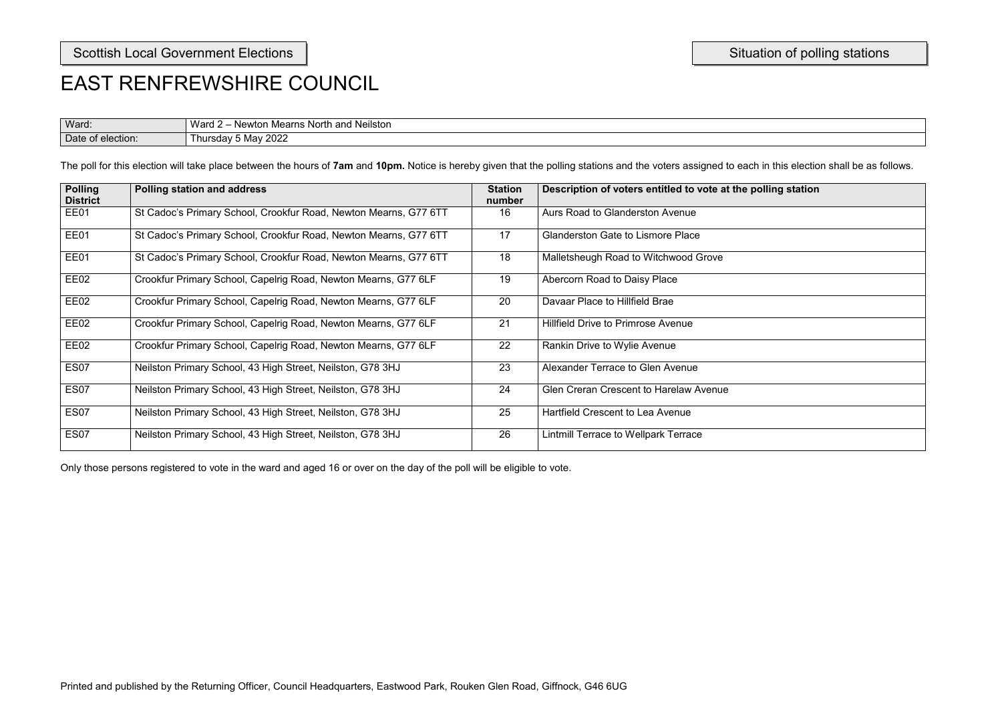| olling station                                                                                                      |  |  |  |
|---------------------------------------------------------------------------------------------------------------------|--|--|--|
|                                                                                                                     |  |  |  |
|                                                                                                                     |  |  |  |
|                                                                                                                     |  |  |  |
|                                                                                                                     |  |  |  |
| <u> 1989 - Jan James James Jan James James Jan James James Jan James James Jan James James James James James Ja</u> |  |  |  |
|                                                                                                                     |  |  |  |
|                                                                                                                     |  |  |  |
|                                                                                                                     |  |  |  |
|                                                                                                                     |  |  |  |
|                                                                                                                     |  |  |  |
|                                                                                                                     |  |  |  |

| Ward:                  | 'Vard<br>Neilston<br>and<br>. Mearns North<br>Newtor |
|------------------------|------------------------------------------------------|
| Date<br>of election: { | ∩∩∩<br>May<br>⊿ ⊥hursdav ′<br>ZUZZ                   |

The poll for this election will take place between the hours of **7am** and **10pm.** Notice is hereby given that the polling stations and the voters assigned to each in this election shall be as follows.

| <b>Polling</b><br><b>District</b> | <b>Polling station and address</b>                               | <b>Station</b><br>number | Description of voters entitled to vote at the polling station |
|-----------------------------------|------------------------------------------------------------------|--------------------------|---------------------------------------------------------------|
| EE01                              | St Cadoc's Primary School, Crookfur Road, Newton Mearns, G77 6TT | 16                       | Aurs Road to Glanderston Avenue                               |
| EE01                              | St Cadoc's Primary School, Crookfur Road, Newton Mearns, G77 6TT | 17                       | <b>Glanderston Gate to Lismore Place</b>                      |
| EE01                              | St Cadoc's Primary School, Crookfur Road, Newton Mearns, G77 6TT | 18                       | Malletsheugh Road to Witchwood Grove                          |
| EE02                              | Crookfur Primary School, Capelrig Road, Newton Mearns, G77 6LF   | 19                       | Abercorn Road to Daisy Place                                  |
| EE02                              | Crookfur Primary School, Capelrig Road, Newton Mearns, G77 6LF   | 20                       | Davaar Place to Hillfield Brae                                |
| EE02                              | Crookfur Primary School, Capelrig Road, Newton Mearns, G77 6LF   | 21                       | <b>Hillfield Drive to Primrose Avenue</b>                     |
| EE02                              | Crookfur Primary School, Capelrig Road, Newton Mearns, G77 6LF   | 22                       | Rankin Drive to Wylie Avenue                                  |
| <b>ES07</b>                       | Neilston Primary School, 43 High Street, Neilston, G78 3HJ       | 23                       | Alexander Terrace to Glen Avenue                              |
| <b>ES07</b>                       | Neilston Primary School, 43 High Street, Neilston, G78 3HJ       | 24                       | <b>Glen Creran Crescent to Harelaw Avenue</b>                 |
| <b>ES07</b>                       | Neilston Primary School, 43 High Street, Neilston, G78 3HJ       | 25                       | Hartfield Crescent to Lea Avenue                              |
| <b>ES07</b>                       | Neilston Primary School, 43 High Street, Neilston, G78 3HJ       | 26                       | Lintmill Terrace to Wellpark Terrace                          |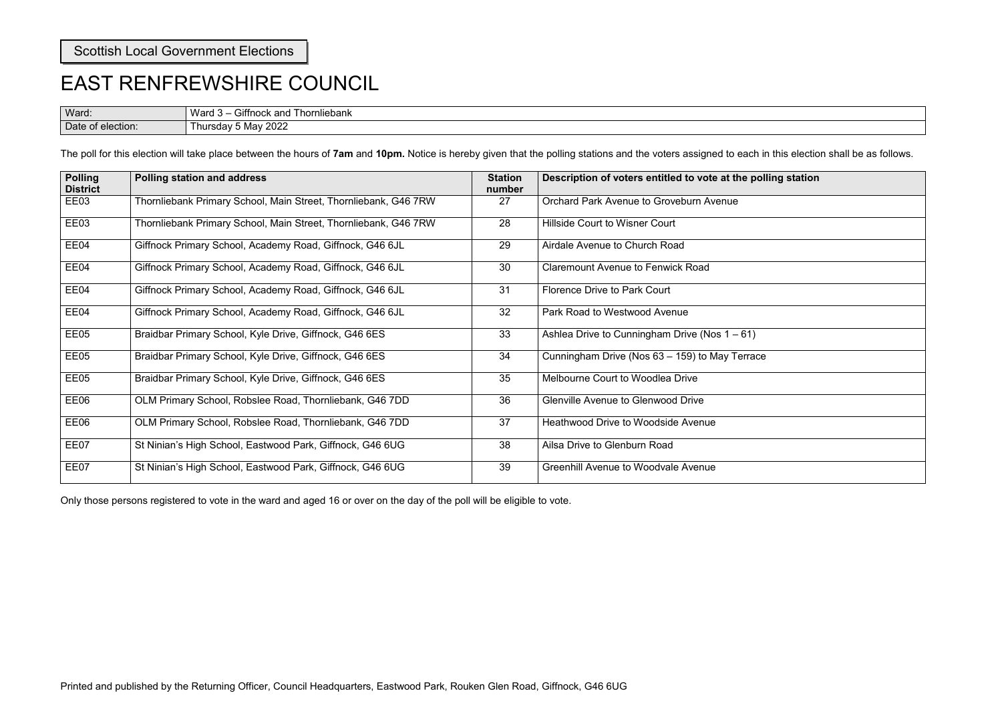| olling station |  |
|----------------|--|
|                |  |
|                |  |
|                |  |
|                |  |
|                |  |
|                |  |
|                |  |
| cе             |  |
|                |  |
|                |  |
|                |  |
|                |  |
|                |  |

Ward: Ward 3 – Giffnock and Thornliebank Date of election: Thursday 5 May 2022

### EAST RENFREWSHIRE COUNCIL

The poll for this election will take place between the hours of **7am** and **10pm.** Notice is hereby given that the polling stations and the voters assigned to each in this election shall be as follows.

| <b>Polling</b><br><b>District</b> | <b>Polling station and address</b>                              | <b>Station</b><br>number | Description of voters entitled to vote at the polling station |
|-----------------------------------|-----------------------------------------------------------------|--------------------------|---------------------------------------------------------------|
| EE03                              | Thornliebank Primary School, Main Street, Thornliebank, G46 7RW | 27                       | <b>Orchard Park Avenue to Groveburn Avenue</b>                |
| EE03                              | Thornliebank Primary School, Main Street, Thornliebank, G46 7RW | 28                       | <b>Hillside Court to Wisner Court</b>                         |
| EE04                              | Giffnock Primary School, Academy Road, Giffnock, G46 6JL        | 29                       | Airdale Avenue to Church Road                                 |
| EE04                              | Giffnock Primary School, Academy Road, Giffnock, G46 6JL        | 30                       | <b>Claremount Avenue to Fenwick Road</b>                      |
| EE04                              | Giffnock Primary School, Academy Road, Giffnock, G46 6JL        | 31                       | <b>Florence Drive to Park Court</b>                           |
| EE04                              | Giffnock Primary School, Academy Road, Giffnock, G46 6JL        | 32                       | Park Road to Westwood Avenue                                  |
| EE05                              | Braidbar Primary School, Kyle Drive, Giffnock, G46 6ES          | 33                       | Ashlea Drive to Cunningham Drive (Nos $1 - 61$ )              |
| EE05                              | Braidbar Primary School, Kyle Drive, Giffnock, G46 6ES          | 34                       | Cunningham Drive (Nos 63 - 159) to May Terrace                |
| EE05                              | Braidbar Primary School, Kyle Drive, Giffnock, G46 6ES          | 35                       | Melbourne Court to Woodlea Drive                              |
| EE06                              | OLM Primary School, Robslee Road, Thornliebank, G46 7DD         | 36                       | <b>Glenville Avenue to Glenwood Drive</b>                     |
| EE06                              | OLM Primary School, Robslee Road, Thornliebank, G46 7DD         | 37                       | <b>Heathwood Drive to Woodside Avenue</b>                     |
| EE07                              | St Ninian's High School, Eastwood Park, Giffnock, G46 6UG       | 38                       | Ailsa Drive to Glenburn Road                                  |
| EE07                              | St Ninian's High School, Eastwood Park, Giffnock, G46 6UG       | 39                       | <b>Greenhill Avenue to Woodvale Avenue</b>                    |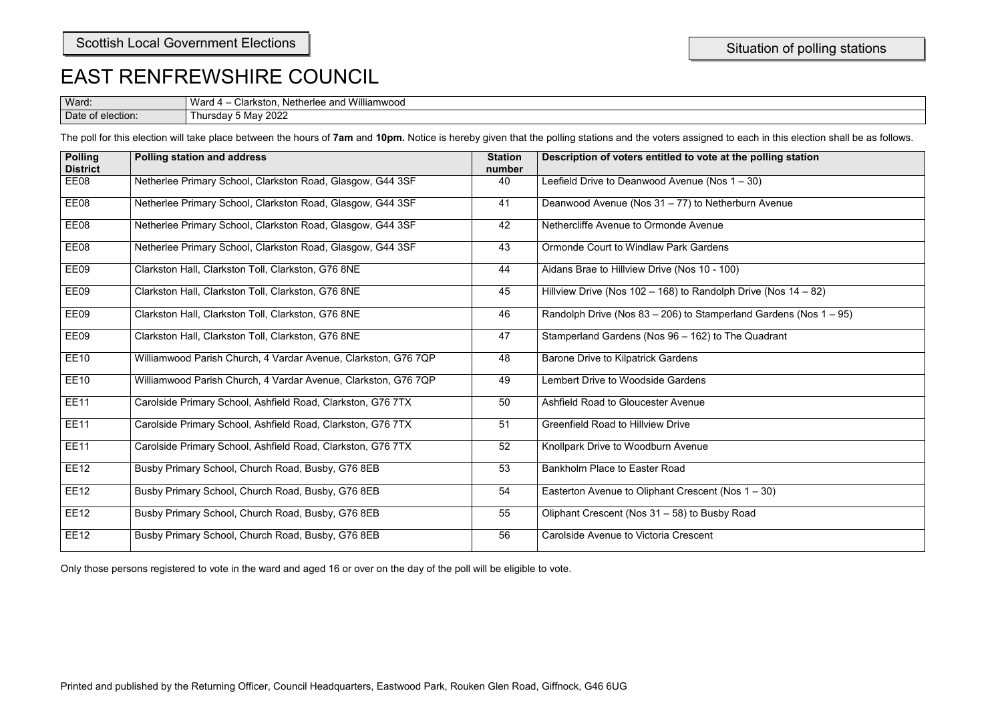| i in this election shall be as follows. |  |  |  |  |
|-----------------------------------------|--|--|--|--|
| olling station                          |  |  |  |  |
| $\overline{)}$                          |  |  |  |  |
| Avenue                                  |  |  |  |  |
|                                         |  |  |  |  |
|                                         |  |  |  |  |
|                                         |  |  |  |  |
| e (Nos 14 – 82)                         |  |  |  |  |
| Gardens (Nos 1 – 95)                    |  |  |  |  |
| ladrant                                 |  |  |  |  |
|                                         |  |  |  |  |
|                                         |  |  |  |  |
|                                         |  |  |  |  |
|                                         |  |  |  |  |
|                                         |  |  |  |  |
|                                         |  |  |  |  |
| $-30)$                                  |  |  |  |  |
|                                         |  |  |  |  |
|                                         |  |  |  |  |
|                                         |  |  |  |  |

| Ward:                  | Williamwood<br>M<br>∴larkstor<br>Netherlee<br>anc.<br>$\mathbf{a}$ |
|------------------------|--------------------------------------------------------------------|
| -<br>Date<br>election: | <b>0000</b><br>$\mathbf{a}$<br>lursda'<br>iviav.<br>∠UZ∟           |

The poll for this election will take place between the hours of 7am and 10pm. Notice is hereby given that the polling stations and the voters assigned to each

| <b>Polling</b><br><b>District</b> | Polling station and address                                    | <b>Station</b><br>number | Description of voters entitled to vote at the polling station        |
|-----------------------------------|----------------------------------------------------------------|--------------------------|----------------------------------------------------------------------|
| EE08                              | Netherlee Primary School, Clarkston Road, Glasgow, G44 3SF     | 40                       | Leefield Drive to Deanwood Avenue (Nos $1 - 30$ )                    |
| EE08                              | Netherlee Primary School, Clarkston Road, Glasgow, G44 3SF     | 41                       | Deanwood Avenue (Nos 31 - 77) to Netherburn Avenue                   |
| EE08                              | Netherlee Primary School, Clarkston Road, Glasgow, G44 3SF     | 42                       | Nethercliffe Avenue to Ormonde Avenue                                |
| EE08                              | Netherlee Primary School, Clarkston Road, Glasgow, G44 3SF     | 43                       | <b>Ormonde Court to Windlaw Park Gardens</b>                         |
| EE09                              | Clarkston Hall, Clarkston Toll, Clarkston, G76 8NE             | 44                       | Aidans Brae to Hillview Drive (Nos 10 - 100)                         |
| EE09                              | Clarkston Hall, Clarkston Toll, Clarkston, G76 8NE             | 45                       | Hillview Drive (Nos $102 - 168$ ) to Randolph Drive (Nos $14 - 82$ ) |
| EE09                              | Clarkston Hall, Clarkston Toll, Clarkston, G76 8NE             | 46                       | Randolph Drive (Nos 83 - 206) to Stamperland Gardens (Nos 1 - 95)    |
| EE09                              | Clarkston Hall, Clarkston Toll, Clarkston, G76 8NE             | 47                       | Stamperland Gardens (Nos 96 - 162) to The Quadrant                   |
| <b>EE10</b>                       | Williamwood Parish Church, 4 Vardar Avenue, Clarkston, G76 7QP | 48                       | <b>Barone Drive to Kilpatrick Gardens</b>                            |
| <b>EE10</b>                       | Williamwood Parish Church, 4 Vardar Avenue, Clarkston, G76 7QP | 49                       | <b>Lembert Drive to Woodside Gardens</b>                             |
| <b>EE11</b>                       | Carolside Primary School, Ashfield Road, Clarkston, G76 7TX    | 50                       | Ashfield Road to Gloucester Avenue                                   |
| <b>EE11</b>                       | Carolside Primary School, Ashfield Road, Clarkston, G76 7TX    | 51                       | <b>Greenfield Road to Hillview Drive</b>                             |
| <b>EE11</b>                       | Carolside Primary School, Ashfield Road, Clarkston, G76 7TX    | 52                       | Knollpark Drive to Woodburn Avenue                                   |
| <b>EE12</b>                       | Busby Primary School, Church Road, Busby, G76 8EB              | 53                       | <b>Bankholm Place to Easter Road</b>                                 |
| <b>EE12</b>                       | Busby Primary School, Church Road, Busby, G76 8EB              | 54                       | Easterton Avenue to Oliphant Crescent (Nos 1 - 30)                   |
| <b>EE12</b>                       | Busby Primary School, Church Road, Busby, G76 8EB              | 55                       | Oliphant Crescent (Nos 31 - 58) to Busby Road                        |
| <b>EE12</b>                       | Busby Primary School, Church Road, Busby, G76 8EB              | 56                       | <b>Carolside Avenue to Victoria Crescent</b>                         |